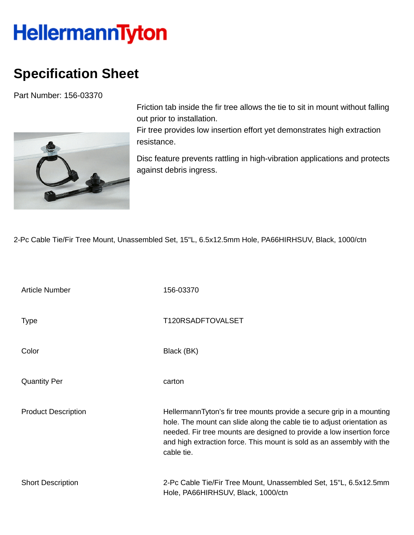## **HellermannTyton**

## **Specification Sheet**

Part Number: 156-03370



Friction tab inside the fir tree allows the tie to sit in mount without falling out prior to installation.

Fir tree provides low insertion effort yet demonstrates high extraction resistance.

Disc feature prevents rattling in high-vibration applications and protects against debris ingress.

2-Pc Cable Tie/Fir Tree Mount, Unassembled Set, 15"L, 6.5x12.5mm Hole, PA66HIRHSUV, Black, 1000/ctn

| <b>Article Number</b>      | 156-03370                                                                                                                                                                                                                                                                                                       |
|----------------------------|-----------------------------------------------------------------------------------------------------------------------------------------------------------------------------------------------------------------------------------------------------------------------------------------------------------------|
| <b>Type</b>                | T120RSADFTOVALSET                                                                                                                                                                                                                                                                                               |
| Color                      | Black (BK)                                                                                                                                                                                                                                                                                                      |
| <b>Quantity Per</b>        | carton                                                                                                                                                                                                                                                                                                          |
| <b>Product Description</b> | HellermannTyton's fir tree mounts provide a secure grip in a mounting<br>hole. The mount can slide along the cable tie to adjust orientation as<br>needed. Fir tree mounts are designed to provide a low insertion force<br>and high extraction force. This mount is sold as an assembly with the<br>cable tie. |
| <b>Short Description</b>   | 2-Pc Cable Tie/Fir Tree Mount, Unassembled Set, 15"L, 6.5x12.5mm<br>Hole, PA66HIRHSUV, Black, 1000/ctn                                                                                                                                                                                                          |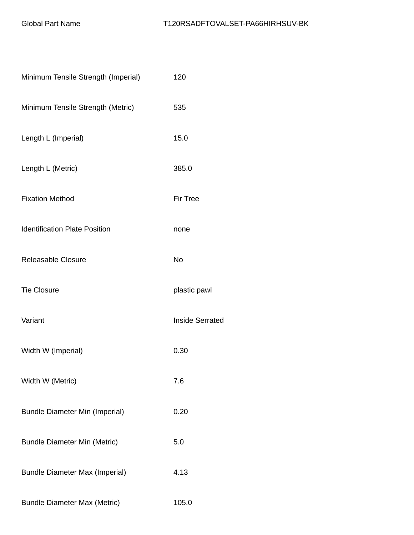| Minimum Tensile Strength (Imperial)   | 120                    |
|---------------------------------------|------------------------|
| Minimum Tensile Strength (Metric)     | 535                    |
| Length L (Imperial)                   | 15.0                   |
| Length L (Metric)                     | 385.0                  |
| <b>Fixation Method</b>                | <b>Fir Tree</b>        |
| <b>Identification Plate Position</b>  | none                   |
| Releasable Closure                    | <b>No</b>              |
| <b>Tie Closure</b>                    | plastic pawl           |
| Variant                               | <b>Inside Serrated</b> |
| Width W (Imperial)                    | 0.30                   |
| Width W (Metric)                      | 7.6                    |
| <b>Bundle Diameter Min (Imperial)</b> | 0.20                   |
| <b>Bundle Diameter Min (Metric)</b>   | 5.0                    |
| <b>Bundle Diameter Max (Imperial)</b> | 4.13                   |
| <b>Bundle Diameter Max (Metric)</b>   | 105.0                  |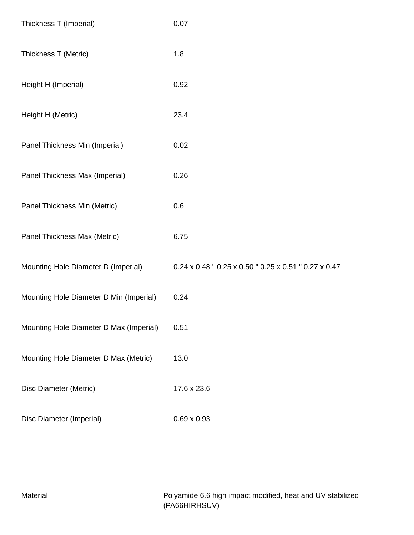| Thickness T (Imperial)                  | 0.07                                                                              |
|-----------------------------------------|-----------------------------------------------------------------------------------|
| Thickness T (Metric)                    | 1.8                                                                               |
| Height H (Imperial)                     | 0.92                                                                              |
| Height H (Metric)                       | 23.4                                                                              |
| Panel Thickness Min (Imperial)          | 0.02                                                                              |
| Panel Thickness Max (Imperial)          | 0.26                                                                              |
| Panel Thickness Min (Metric)            | 0.6                                                                               |
| Panel Thickness Max (Metric)            | 6.75                                                                              |
| Mounting Hole Diameter D (Imperial)     | $0.24 \times 0.48$ " $0.25 \times 0.50$ " $0.25 \times 0.51$ " $0.27 \times 0.47$ |
| Mounting Hole Diameter D Min (Imperial) | 0.24                                                                              |
| Mounting Hole Diameter D Max (Imperial) | 0.51                                                                              |
| Mounting Hole Diameter D Max (Metric)   | 13.0                                                                              |
| Disc Diameter (Metric)                  | 17.6 x 23.6                                                                       |
| Disc Diameter (Imperial)                | $0.69 \times 0.93$                                                                |